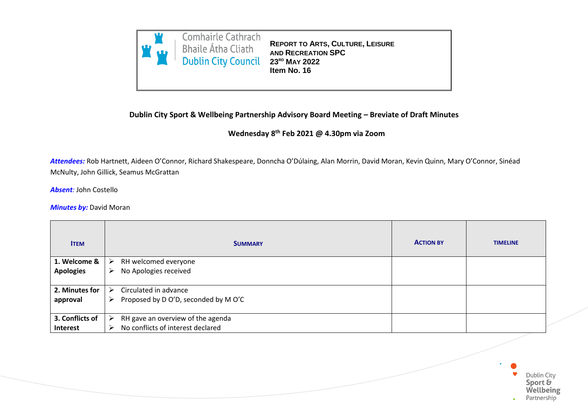

**REPORT TO ARTS, CULTURE, LEISURE AND RECREATION SPC 23RD MAY 2022 Item No. 16**

## **Dublin City Sport & Wellbeing Partnership Advisory Board Meeting – Breviate of Draft Minutes**

## **Wednesday 8 th Feb 2021 @ 4.30pm via Zoom**

*Attendees:* Rob Hartnett, Aideen O'Connor, Richard Shakespeare, Donncha O'Dúlaing, Alan Morrin, David Moran, Kevin Quinn, Mary O'Connor, Sinéad McNulty, John Gillick, Seamus McGrattan

*Absent:* John Costello

**Minutes by: David Moran** 

| <b>ITEM</b>      | <b>SUMMARY</b>                            | <b>ACTION BY</b> | <b>TIMELINE</b> |
|------------------|-------------------------------------------|------------------|-----------------|
| 1. Welcome &     | RH welcomed everyone<br>➤                 |                  |                 |
| <b>Apologies</b> | No Apologies received<br>➤                |                  |                 |
|                  |                                           |                  |                 |
| 2. Minutes for   | Circulated in advance<br>➤                |                  |                 |
| approval         | Proposed by D O'D, seconded by M O'C<br>➤ |                  |                 |
|                  |                                           |                  |                 |
| 3. Conflicts of  | RH gave an overview of the agenda<br>➤    |                  |                 |
| Interest         | No conflicts of interest declared<br>⋗    |                  |                 |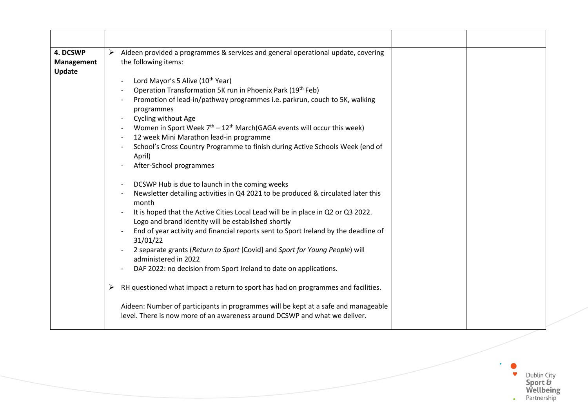| 4. DCSWP<br><b>Management</b><br>Update | Aideen provided a programmes & services and general operational update, covering<br>➤<br>the following items:                                                                                                                                                                                                                                                                                                                                                                                                                                                                                                                                               |
|-----------------------------------------|-------------------------------------------------------------------------------------------------------------------------------------------------------------------------------------------------------------------------------------------------------------------------------------------------------------------------------------------------------------------------------------------------------------------------------------------------------------------------------------------------------------------------------------------------------------------------------------------------------------------------------------------------------------|
|                                         | Lord Mayor's 5 Alive (10 <sup>th</sup> Year)<br>Operation Transformation 5K run in Phoenix Park (19th Feb)<br>Promotion of lead-in/pathway programmes i.e. parkrun, couch to 5K, walking<br>programmes<br>Cycling without Age<br>Women in Sport Week $7th - 12th March(GAGA events will occur this week)$<br>12 week Mini Marathon lead-in programme<br>School's Cross Country Programme to finish during Active Schools Week (end of<br>April)<br>After-School programmes                                                                                                                                                                                  |
|                                         | DCSWP Hub is due to launch in the coming weeks<br>Newsletter detailing activities in Q4 2021 to be produced & circulated later this<br>month<br>It is hoped that the Active Cities Local Lead will be in place in Q2 or Q3 2022.<br>Logo and brand identity will be established shortly<br>End of year activity and financial reports sent to Sport Ireland by the deadline of<br>31/01/22<br>2 separate grants (Return to Sport [Covid] and Sport for Young People) will<br>administered in 2022<br>DAF 2022: no decision from Sport Ireland to date on applications.<br>RH questioned what impact a return to sport has had on programmes and facilities. |
|                                         | ➤<br>Aideen: Number of participants in programmes will be kept at a safe and manageable<br>level. There is now more of an awareness around DCSWP and what we deliver.                                                                                                                                                                                                                                                                                                                                                                                                                                                                                       |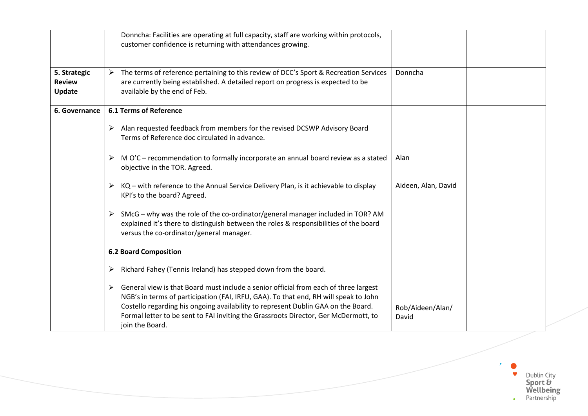|                                         | Donncha: Facilities are operating at full capacity, staff are working within protocols,<br>customer confidence is returning with attendances growing.                                                                                                                                                                                                                            |                           |
|-----------------------------------------|----------------------------------------------------------------------------------------------------------------------------------------------------------------------------------------------------------------------------------------------------------------------------------------------------------------------------------------------------------------------------------|---------------------------|
| 5. Strategic<br><b>Review</b><br>Update | The terms of reference pertaining to this review of DCC's Sport & Recreation Services<br>➤<br>are currently being established. A detailed report on progress is expected to be<br>available by the end of Feb.                                                                                                                                                                   | Donncha                   |
| 6. Governance                           | <b>6.1 Terms of Reference</b>                                                                                                                                                                                                                                                                                                                                                    |                           |
|                                         | Alan requested feedback from members for the revised DCSWP Advisory Board<br>➤<br>Terms of Reference doc circulated in advance.                                                                                                                                                                                                                                                  |                           |
|                                         | M O'C – recommendation to formally incorporate an annual board review as a stated<br>➤<br>objective in the TOR. Agreed.                                                                                                                                                                                                                                                          | Alan                      |
|                                         | KQ - with reference to the Annual Service Delivery Plan, is it achievable to display<br>➤<br>KPI's to the board? Agreed.                                                                                                                                                                                                                                                         | Aideen, Alan, David       |
|                                         | SMcG - why was the role of the co-ordinator/general manager included in TOR? AM<br>➤<br>explained it's there to distinguish between the roles & responsibilities of the board<br>versus the co-ordinator/general manager.                                                                                                                                                        |                           |
|                                         | <b>6.2 Board Composition</b>                                                                                                                                                                                                                                                                                                                                                     |                           |
|                                         | Richard Fahey (Tennis Ireland) has stepped down from the board.<br>➤                                                                                                                                                                                                                                                                                                             |                           |
|                                         | General view is that Board must include a senior official from each of three largest<br>➤<br>NGB's in terms of participation (FAI, IRFU, GAA). To that end, RH will speak to John<br>Costello regarding his ongoing availability to represent Dublin GAA on the Board.<br>Formal letter to be sent to FAI inviting the Grassroots Director, Ger McDermott, to<br>join the Board. | Rob/Aideen/Alan/<br>David |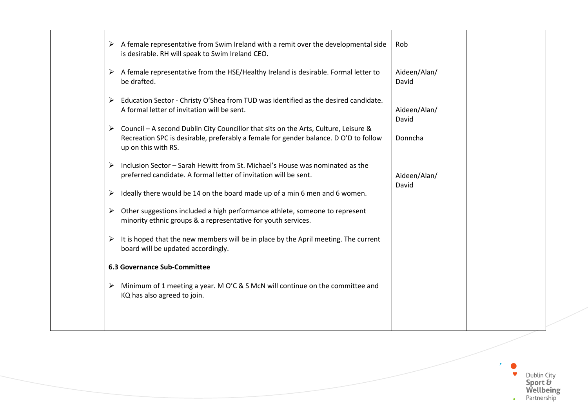|   | A female representative from Swim Ireland with a remit over the developmental side<br>is desirable. RH will speak to Swim Ireland CEO.                                                                  | Rob                   |  |
|---|---------------------------------------------------------------------------------------------------------------------------------------------------------------------------------------------------------|-----------------------|--|
|   | A female representative from the HSE/Healthy Ireland is desirable. Formal letter to<br>be drafted.                                                                                                      | Aideen/Alan/<br>David |  |
| ➤ | Education Sector - Christy O'Shea from TUD was identified as the desired candidate.<br>A formal letter of invitation will be sent.                                                                      | Aideen/Alan/<br>David |  |
|   | Council - A second Dublin City Councillor that sits on the Arts, Culture, Leisure &<br>➤<br>Recreation SPC is desirable, preferably a female for gender balance. D O'D to follow<br>up on this with RS. | Donncha               |  |
| ≻ | Inclusion Sector - Sarah Hewitt from St. Michael's House was nominated as the<br>preferred candidate. A formal letter of invitation will be sent.                                                       | Aideen/Alan/<br>David |  |
| ➤ | Ideally there would be 14 on the board made up of a min 6 men and 6 women.                                                                                                                              |                       |  |
|   | Other suggestions included a high performance athlete, someone to represent<br>➤<br>minority ethnic groups & a representative for youth services.                                                       |                       |  |
| ➤ | It is hoped that the new members will be in place by the April meeting. The current<br>board will be updated accordingly.                                                                               |                       |  |
|   | <b>6.3 Governance Sub-Committee</b>                                                                                                                                                                     |                       |  |
| ➤ | Minimum of 1 meeting a year. M O'C & S McN will continue on the committee and<br>KQ has also agreed to join.                                                                                            |                       |  |
|   |                                                                                                                                                                                                         |                       |  |